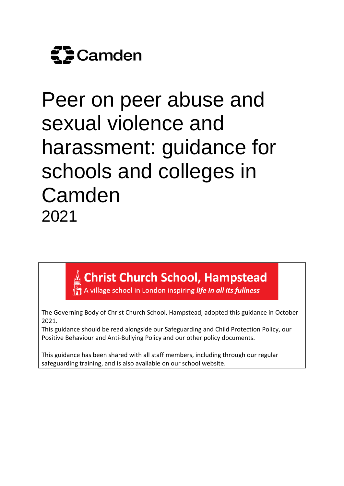

# Peer on peer abuse and sexual violence and harassment: guidance for schools and colleges in **Camden** 2021

**Christ Church School, Hampstead**<br>A village school in London inspiring *life in all its fullness* 

The Governing Body of Christ Church School, Hampstead, adopted this guidance in October 2021.

This guidance should be read alongside our Safeguarding and Child Protection Policy, our Positive Behaviour and Anti-Bullying Policy and our other policy documents.

This guidance has been shared with all staff members, including through our regular safeguarding training, and is also available on our school website.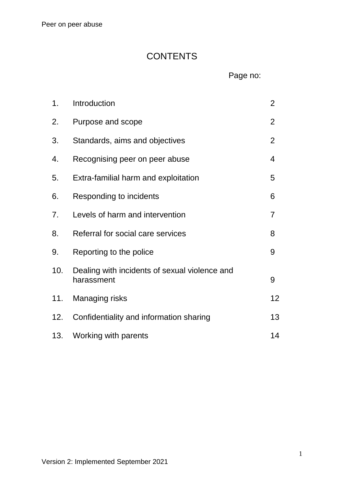# **CONTENTS**

Page no:

| 1.  | Introduction                                                | $\overline{2}$ |
|-----|-------------------------------------------------------------|----------------|
| 2.  | Purpose and scope                                           | $\overline{2}$ |
| 3.  | Standards, aims and objectives                              | $\overline{2}$ |
| 4.  | Recognising peer on peer abuse                              | 4              |
| 5.  | Extra-familial harm and exploitation                        | 5              |
| 6.  | Responding to incidents                                     | 6              |
| 7.  | Levels of harm and intervention                             | 7              |
| 8.  | Referral for social care services                           | 8              |
| 9.  | Reporting to the police                                     | 9              |
| 10. | Dealing with incidents of sexual violence and<br>harassment | 9              |
| 11. | Managing risks                                              | 12             |
| 12. | Confidentiality and information sharing                     | 13             |
| 13. | Working with parents                                        | 14             |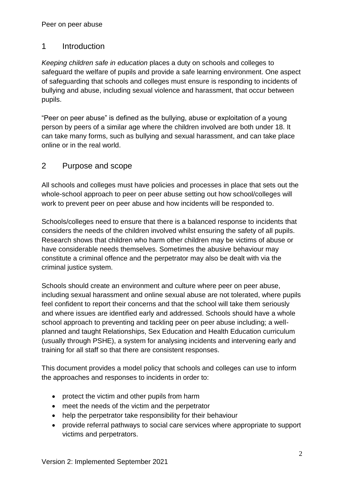# 1 Introduction

*Keeping children safe in education* places a duty on schools and colleges to safeguard the welfare of pupils and provide a safe learning environment. One aspect of safeguarding that schools and colleges must ensure is responding to incidents of bullying and abuse, including sexual violence and harassment, that occur between pupils.

"Peer on peer abuse" is defined as the bullying, abuse or exploitation of a young person by peers of a similar age where the children involved are both under 18. It can take many forms, such as bullying and sexual harassment, and can take place online or in the real world.

# 2 Purpose and scope

All schools and colleges must have policies and processes in place that sets out the whole-school approach to peer on peer abuse setting out how school/colleges will work to prevent peer on peer abuse and how incidents will be responded to.

Schools/colleges need to ensure that there is a balanced response to incidents that considers the needs of the children involved whilst ensuring the safety of all pupils. Research shows that children who harm other children may be victims of abuse or have considerable needs themselves. Sometimes the abusive behaviour may constitute a criminal offence and the perpetrator may also be dealt with via the criminal justice system.

Schools should create an environment and culture where peer on peer abuse, including sexual harassment and online sexual abuse are not tolerated, where pupils feel confident to report their concerns and that the school will take them seriously and where issues are identified early and addressed. Schools should have a whole school approach to preventing and tackling peer on peer abuse including; a wellplanned and taught Relationships, Sex Education and Health Education curriculum (usually through PSHE), a system for analysing incidents and intervening early and training for all staff so that there are consistent responses.

This document provides a model policy that schools and colleges can use to inform the approaches and responses to incidents in order to:

- protect the victim and other pupils from harm
- meet the needs of the victim and the perpetrator
- help the perpetrator take responsibility for their behaviour
- provide referral pathways to social care services where appropriate to support victims and perpetrators.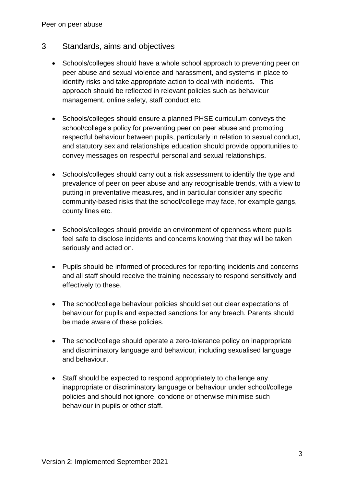Peer on peer abuse

- 3 Standards, aims and objectives
	- Schools/colleges should have a whole school approach to preventing peer on peer abuse and sexual violence and harassment, and systems in place to identify risks and take appropriate action to deal with incidents. This approach should be reflected in relevant policies such as behaviour management, online safety, staff conduct etc.
	- Schools/colleges should ensure a planned PHSE curriculum conveys the school/college's policy for preventing peer on peer abuse and promoting respectful behaviour between pupils, particularly in relation to sexual conduct, and statutory sex and relationships education should provide opportunities to convey messages on respectful personal and sexual relationships.
	- Schools/colleges should carry out a risk assessment to identify the type and prevalence of peer on peer abuse and any recognisable trends, with a view to putting in preventative measures, and in particular consider any specific community-based risks that the school/college may face, for example gangs, county lines etc.
	- Schools/colleges should provide an environment of openness where pupils feel safe to disclose incidents and concerns knowing that they will be taken seriously and acted on.
	- Pupils should be informed of procedures for reporting incidents and concerns and all staff should receive the training necessary to respond sensitively and effectively to these.
	- The school/college behaviour policies should set out clear expectations of behaviour for pupils and expected sanctions for any breach. Parents should be made aware of these policies.
	- The school/college should operate a zero-tolerance policy on inappropriate and discriminatory language and behaviour, including sexualised language and behaviour.
	- Staff should be expected to respond appropriately to challenge any inappropriate or discriminatory language or behaviour under school/college policies and should not ignore, condone or otherwise minimise such behaviour in pupils or other staff.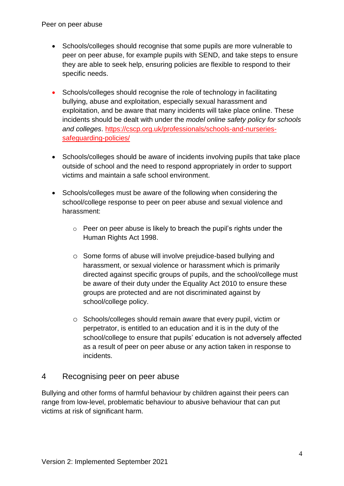Peer on peer abuse

- Schools/colleges should recognise that some pupils are more vulnerable to peer on peer abuse, for example pupils with SEND, and take steps to ensure they are able to seek help, ensuring policies are flexible to respond to their specific needs.
- Schools/colleges should recognise the role of technology in facilitating bullying, abuse and exploitation, especially sexual harassment and exploitation, and be aware that many incidents will take place online. These incidents should be dealt with under the *model online safety policy for schools and colleges*. [https://cscp.org.uk/professionals/schools-and-nurseries](https://cscp.org.uk/professionals/schools-and-nurseries-safeguarding-policies/)[safeguarding-policies/](https://cscp.org.uk/professionals/schools-and-nurseries-safeguarding-policies/)
- Schools/colleges should be aware of incidents involving pupils that take place outside of school and the need to respond appropriately in order to support victims and maintain a safe school environment.
- Schools/colleges must be aware of the following when considering the school/college response to peer on peer abuse and sexual violence and harassment:
	- o Peer on peer abuse is likely to breach the pupil's rights under the Human Rights Act 1998.
	- o Some forms of abuse will involve prejudice-based bullying and harassment, or sexual violence or harassment which is primarily directed against specific groups of pupils, and the school/college must be aware of their duty under the Equality Act 2010 to ensure these groups are protected and are not discriminated against by school/college policy.
	- o Schools/colleges should remain aware that every pupil, victim or perpetrator, is entitled to an education and it is in the duty of the school/college to ensure that pupils' education is not adversely affected as a result of peer on peer abuse or any action taken in response to incidents.

#### 4 Recognising peer on peer abuse

Bullying and other forms of harmful behaviour by children against their peers can range from low-level, problematic behaviour to abusive behaviour that can put victims at risk of significant harm.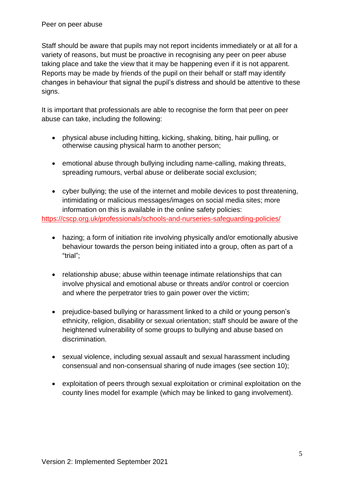Staff should be aware that pupils may not report incidents immediately or at all for a variety of reasons, but must be proactive in recognising any peer on peer abuse taking place and take the view that it may be happening even if it is not apparent. Reports may be made by friends of the pupil on their behalf or staff may identify changes in behaviour that signal the pupil's distress and should be attentive to these signs.

It is important that professionals are able to recognise the form that peer on peer abuse can take, including the following:

- physical abuse including hitting, kicking, shaking, biting, hair pulling, or otherwise causing physical harm to another person;
- emotional abuse through bullying including name-calling, making threats, spreading rumours, verbal abuse or deliberate social exclusion;
- cyber bullying; the use of the internet and mobile devices to post threatening, intimidating or malicious messages/images on social media sites; more information on this is available in the online safety policies:

<https://cscp.org.uk/professionals/schools-and-nurseries-safeguarding-policies/>

- hazing; a form of initiation rite involving physically and/or emotionally abusive behaviour towards the person being initiated into a group, often as part of a "trial";
- relationship abuse; abuse within teenage intimate relationships that can involve physical and emotional abuse or threats and/or control or coercion and where the perpetrator tries to gain power over the victim;
- prejudice-based bullying or harassment linked to a child or young person's ethnicity, religion, disability or sexual orientation; staff should be aware of the heightened vulnerability of some groups to bullying and abuse based on discrimination.
- sexual violence, including sexual assault and sexual harassment including consensual and non-consensual sharing of nude images (see section 10);
- exploitation of peers through sexual exploitation or criminal exploitation on the county lines model for example (which may be linked to gang involvement).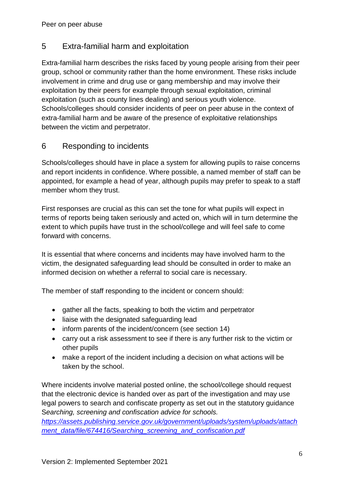# 5 Extra-familial harm and exploitation

Extra-familial harm describes the risks faced by young people arising from their peer group, school or community rather than the home environment. These risks include involvement in crime and drug use or gang membership and may involve their exploitation by their peers for example through sexual exploitation, criminal exploitation (such as county lines dealing) and serious youth violence. Schools/colleges should consider incidents of peer on peer abuse in the context of extra-familial harm and be aware of the presence of exploitative relationships between the victim and perpetrator.

# 6 Responding to incidents

Schools/colleges should have in place a system for allowing pupils to raise concerns and report incidents in confidence. Where possible, a named member of staff can be appointed, for example a head of year, although pupils may prefer to speak to a staff member whom they trust.

First responses are crucial as this can set the tone for what pupils will expect in terms of reports being taken seriously and acted on, which will in turn determine the extent to which pupils have trust in the school/college and will feel safe to come forward with concerns.

It is essential that where concerns and incidents may have involved harm to the victim, the designated safeguarding lead should be consulted in order to make an informed decision on whether a referral to social care is necessary.

The member of staff responding to the incident or concern should:

- gather all the facts, speaking to both the victim and perpetrator
- liaise with the designated safeguarding lead
- inform parents of the incident/concern (see section 14)
- carry out a risk assessment to see if there is any further risk to the victim or other pupils
- make a report of the incident including a decision on what actions will be taken by the school.

Where incidents involve material posted online, the school/college should request that the electronic device is handed over as part of the investigation and may use legal powers to search and confiscate property as set out in the statutory guidance S*earching, screening and confiscation advice for schools.* 

*[https://assets.publishing.service.gov.uk/government/uploads/system/uploads/attach](https://assets.publishing.service.gov.uk/government/uploads/system/uploads/attachment_data/file/674416/Searching_screening_and_confiscation.pdf) [ment\\_data/file/674416/Searching\\_screening\\_and\\_confiscation.pdf](https://assets.publishing.service.gov.uk/government/uploads/system/uploads/attachment_data/file/674416/Searching_screening_and_confiscation.pdf)*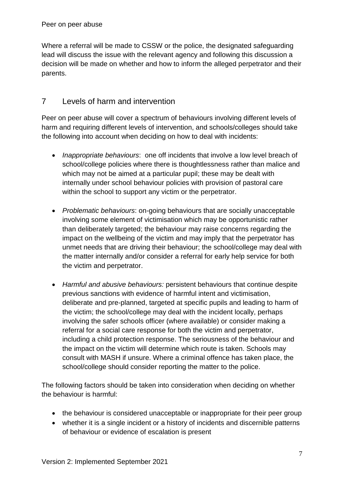Where a referral will be made to CSSW or the police, the designated safeguarding lead will discuss the issue with the relevant agency and following this discussion a decision will be made on whether and how to inform the alleged perpetrator and their parents.

# 7 Levels of harm and intervention

Peer on peer abuse will cover a spectrum of behaviours involving different levels of harm and requiring different levels of intervention, and schools/colleges should take the following into account when deciding on how to deal with incidents:

- *Inappropriate behaviours*: one off incidents that involve a low level breach of school/college policies where there is thoughtlessness rather than malice and which may not be aimed at a particular pupil; these may be dealt with internally under school behaviour policies with provision of pastoral care within the school to support any victim or the perpetrator.
- *Problematic behaviours*: on-going behaviours that are socially unacceptable involving some element of victimisation which may be opportunistic rather than deliberately targeted; the behaviour may raise concerns regarding the impact on the wellbeing of the victim and may imply that the perpetrator has unmet needs that are driving their behaviour; the school/college may deal with the matter internally and/or consider a referral for early help service for both the victim and perpetrator.
- *Harmful and abusive behaviours:* persistent behaviours that continue despite previous sanctions with evidence of harmful intent and victimisation, deliberate and pre-planned, targeted at specific pupils and leading to harm of the victim; the school/college may deal with the incident locally, perhaps involving the safer schools officer (where available) or consider making a referral for a social care response for both the victim and perpetrator, including a child protection response. The seriousness of the behaviour and the impact on the victim will determine which route is taken. Schools may consult with MASH if unsure. Where a criminal offence has taken place, the school/college should consider reporting the matter to the police.

The following factors should be taken into consideration when deciding on whether the behaviour is harmful:

- the behaviour is considered unacceptable or inappropriate for their peer group
- whether it is a single incident or a history of incidents and discernible patterns of behaviour or evidence of escalation is present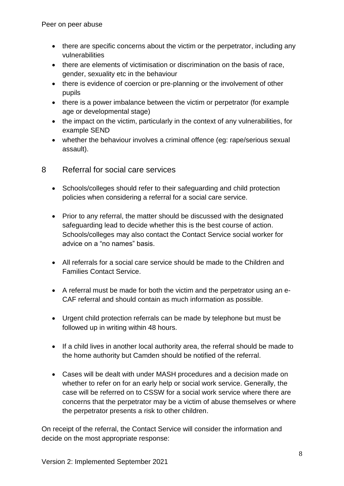- there are specific concerns about the victim or the perpetrator, including any vulnerabilities
- there are elements of victimisation or discrimination on the basis of race, gender, sexuality etc in the behaviour
- there is evidence of coercion or pre-planning or the involvement of other pupils
- there is a power imbalance between the victim or perpetrator (for example age or developmental stage)
- the impact on the victim, particularly in the context of any vulnerabilities, for example SEND
- whether the behaviour involves a criminal offence (eg: rape/serious sexual assault).

#### 8 Referral for social care services

- Schools/colleges should refer to their safeguarding and child protection policies when considering a referral for a social care service.
- Prior to any referral, the matter should be discussed with the designated safeguarding lead to decide whether this is the best course of action. Schools/colleges may also contact the Contact Service social worker for advice on a "no names" basis.
- All referrals for a social care service should be made to the Children and Families Contact Service.
- A referral must be made for both the victim and the perpetrator using an e-CAF referral and should contain as much information as possible.
- Urgent child protection referrals can be made by telephone but must be followed up in writing within 48 hours.
- If a child lives in another local authority area, the referral should be made to the home authority but Camden should be notified of the referral.
- Cases will be dealt with under MASH procedures and a decision made on whether to refer on for an early help or social work service. Generally, the case will be referred on to CSSW for a social work service where there are concerns that the perpetrator may be a victim of abuse themselves or where the perpetrator presents a risk to other children.

On receipt of the referral, the Contact Service will consider the information and decide on the most appropriate response: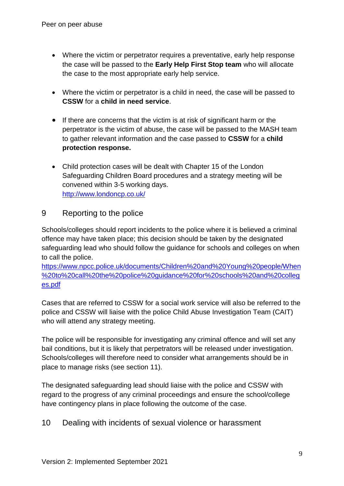- Where the victim or perpetrator requires a preventative, early help response the case will be passed to the **Early Help First Stop team** who will allocate the case to the most appropriate early help service.
- Where the victim or perpetrator is a child in need, the case will be passed to **CSSW** for a **child in need service**.
- If there are concerns that the victim is at risk of significant harm or the perpetrator is the victim of abuse, the case will be passed to the MASH team to gather relevant information and the case passed to **CSSW** for a **child protection response.**
- Child protection cases will be dealt with Chapter 15 of the London Safeguarding Children Board procedures and a strategy meeting will be convened within 3-5 working days. <http://www.londoncp.co.uk/>

#### 9 Reporting to the police

Schools/colleges should report incidents to the police where it is believed a criminal offence may have taken place; this decision should be taken by the designated safeguarding lead who should follow the guidance for schools and colleges on when to call the police.

[https://www.npcc.police.uk/documents/Children%20and%20Young%20people/When](https://www.npcc.police.uk/documents/Children%20and%20Young%20people/When%20to%20call%20the%20police%20guidance%20for%20schools%20and%20colleges.pdf) [%20to%20call%20the%20police%20guidance%20for%20schools%20and%20colleg](https://www.npcc.police.uk/documents/Children%20and%20Young%20people/When%20to%20call%20the%20police%20guidance%20for%20schools%20and%20colleges.pdf) [es.pdf](https://www.npcc.police.uk/documents/Children%20and%20Young%20people/When%20to%20call%20the%20police%20guidance%20for%20schools%20and%20colleges.pdf)

Cases that are referred to CSSW for a social work service will also be referred to the police and CSSW will liaise with the police Child Abuse Investigation Team (CAIT) who will attend any strategy meeting.

The police will be responsible for investigating any criminal offence and will set any bail conditions, but it is likely that perpetrators will be released under investigation. Schools/colleges will therefore need to consider what arrangements should be in place to manage risks (see section 11).

The designated safeguarding lead should liaise with the police and CSSW with regard to the progress of any criminal proceedings and ensure the school/college have contingency plans in place following the outcome of the case.

10 Dealing with incidents of sexual violence or harassment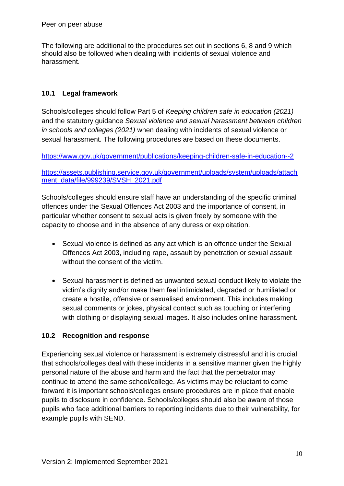The following are additional to the procedures set out in sections 6, 8 and 9 which should also be followed when dealing with incidents of sexual violence and harassment.

#### **10.1 Legal framework**

Schools/colleges should follow Part 5 of *Keeping children safe in education (2021)*  and the statutory guidance *Sexual violence and sexual harassment between children in schools and colleges (2021)* when dealing with incidents of sexual violence or sexual harassment. The following procedures are based on these documents.

<https://www.gov.uk/government/publications/keeping-children-safe-in-education--2>

[https://assets.publishing.service.gov.uk/government/uploads/system/uploads/attach](https://assets.publishing.service.gov.uk/government/uploads/system/uploads/attachment_data/file/999239/SVSH_2021.pdf) [ment\\_data/file/999239/SVSH\\_2021.pdf](https://assets.publishing.service.gov.uk/government/uploads/system/uploads/attachment_data/file/999239/SVSH_2021.pdf)

Schools/colleges should ensure staff have an understanding of the specific criminal offences under the Sexual Offences Act 2003 and the importance of consent, in particular whether consent to sexual acts is given freely by someone with the capacity to choose and in the absence of any duress or exploitation.

- Sexual violence is defined as any act which is an offence under the Sexual Offences Act 2003, including rape, assault by penetration or sexual assault without the consent of the victim.
- Sexual harassment is defined as unwanted sexual conduct likely to violate the victim's dignity and/or make them feel intimidated, degraded or humiliated or create a hostile, offensive or sexualised environment. This includes making sexual comments or jokes, physical contact such as touching or interfering with clothing or displaying sexual images. It also includes online harassment.

#### **10.2 Recognition and response**

Experiencing sexual violence or harassment is extremely distressful and it is crucial that schools/colleges deal with these incidents in a sensitive manner given the highly personal nature of the abuse and harm and the fact that the perpetrator may continue to attend the same school/college. As victims may be reluctant to come forward it is important schools/colleges ensure procedures are in place that enable pupils to disclosure in confidence. Schools/colleges should also be aware of those pupils who face additional barriers to reporting incidents due to their vulnerability, for example pupils with SEND.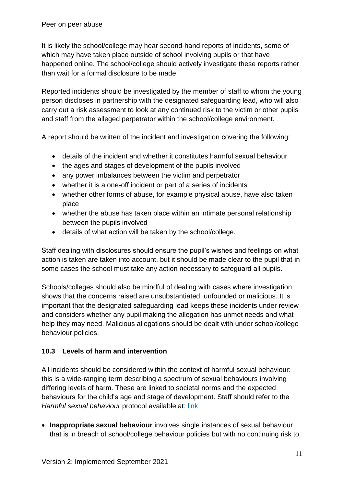It is likely the school/college may hear second-hand reports of incidents, some of which may have taken place outside of school involving pupils or that have happened online. The school/college should actively investigate these reports rather than wait for a formal disclosure to be made.

Reported incidents should be investigated by the member of staff to whom the young person discloses in partnership with the designated safeguarding lead, who will also carry out a risk assessment to look at any continued risk to the victim or other pupils and staff from the alleged perpetrator within the school/college environment.

A report should be written of the incident and investigation covering the following:

- details of the incident and whether it constitutes harmful sexual behaviour
- the ages and stages of development of the pupils involved
- any power imbalances between the victim and perpetrator
- whether it is a one-off incident or part of a series of incidents
- whether other forms of abuse, for example physical abuse, have also taken place
- whether the abuse has taken place within an intimate personal relationship between the pupils involved
- details of what action will be taken by the school/college.

Staff dealing with disclosures should ensure the pupil's wishes and feelings on what action is taken are taken into account, but it should be made clear to the pupil that in some cases the school must take any action necessary to safeguard all pupils.

Schools/colleges should also be mindful of dealing with cases where investigation shows that the concerns raised are unsubstantiated, unfounded or malicious. It is important that the designated safeguarding lead keeps these incidents under review and considers whether any pupil making the allegation has unmet needs and what help they may need. Malicious allegations should be dealt with under school/college behaviour policies.

#### **10.3 Levels of harm and intervention**

All incidents should be considered within the context of harmful sexual behaviour: this is a wide-ranging term describing a spectrum of sexual behaviours involving differing levels of harm. These are linked to societal norms and the expected behaviours for the child's age and stage of development. Staff should refer to the *Harmful sexual behaviour* protocol available at: link

 **Inappropriate sexual behaviour** involves single instances of sexual behaviour that is in breach of school/college behaviour policies but with no continuing risk to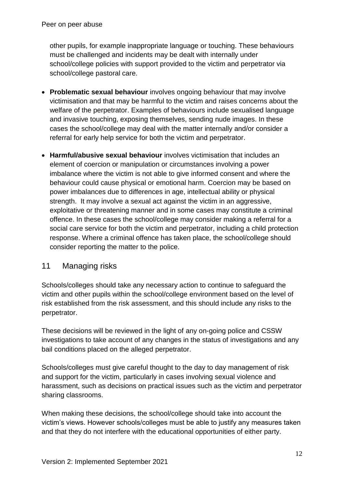other pupils, for example inappropriate language or touching. These behaviours must be challenged and incidents may be dealt with internally under school/college policies with support provided to the victim and perpetrator via school/college pastoral care.

- **Problematic sexual behaviour** involves ongoing behaviour that may involve victimisation and that may be harmful to the victim and raises concerns about the welfare of the perpetrator. Examples of behaviours include sexualised language and invasive touching, exposing themselves, sending nude images. In these cases the school/college may deal with the matter internally and/or consider a referral for early help service for both the victim and perpetrator.
- **Harmful/abusive sexual behaviour** involves victimisation that includes an element of coercion or manipulation or circumstances involving a power imbalance where the victim is not able to give informed consent and where the behaviour could cause physical or emotional harm. Coercion may be based on power imbalances due to differences in age, intellectual ability or physical strength. It may involve a sexual act against the victim in an aggressive, exploitative or threatening manner and in some cases may constitute a criminal offence. In these cases the school/college may consider making a referral for a social care service for both the victim and perpetrator, including a child protection response. Where a criminal offence has taken place, the school/college should consider reporting the matter to the police.

# 11 Managing risks

Schools/colleges should take any necessary action to continue to safeguard the victim and other pupils within the school/college environment based on the level of risk established from the risk assessment, and this should include any risks to the perpetrator.

These decisions will be reviewed in the light of any on-going police and CSSW investigations to take account of any changes in the status of investigations and any bail conditions placed on the alleged perpetrator.

Schools/colleges must give careful thought to the day to day management of risk and support for the victim, particularly in cases involving sexual violence and harassment, such as decisions on practical issues such as the victim and perpetrator sharing classrooms.

When making these decisions, the school/college should take into account the victim's views. However schools/colleges must be able to justify any measures taken and that they do not interfere with the educational opportunities of either party.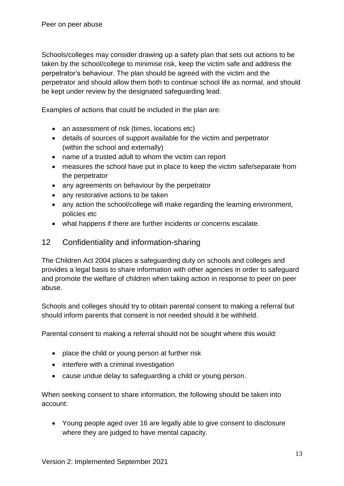Schools/colleges may consider drawing up a safety plan that sets out actions to be taken by the school/college to minimise risk, keep the victim safe and address the perpetrator's behaviour. The plan should be agreed with the victim and the perpetrator and should allow them both to continue school life as normal, and should be kept under review by the designated safeguarding lead.

Examples of actions that could be included in the plan are:

- an assessment of risk (times, locations etc)
- details of sources of support available for the victim and perpetrator (within the school and externally)
- name of a trusted adult to whom the victim can report
- measures the school have put in place to keep the victim safe/separate from the perpetrator
- any agreements on behaviour by the perpetrator
- any restorative actions to be taken
- any action the school/college will make regarding the learning environment, policies etc
- what happens if there are further incidents or concerns escalate.

#### 12 Confidentiality and information-sharing

The Children Act 2004 places a safeguarding duty on schools and colleges and provides a legal basis to share information with other agencies in order to safeguard and promote the welfare of children when taking action in response to peer on peer abuse.

Schools and colleges should try to obtain parental consent to making a referral but should inform parents that consent is not needed should it be withheld.

Parental consent to making a referral should not be sought where this would:

- place the child or young person at further risk
- interfere with a criminal investigation
- cause undue delay to safeguarding a child or young person.

When seeking consent to share information, the following should be taken into account:

 Young people aged over 16 are legally able to give consent to disclosure where they are judged to have mental capacity.